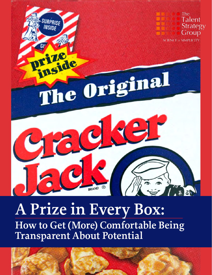

# **A Prize in Every Box: How to Get (More) Comfortable Being Transparent About Potential**

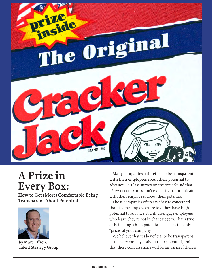

## **A Prize in Every Box:**

**How to Get (More) Comfortable Being Transparent About Potential**



**by [Marc Effron](mailto:marc@talentstrategygroup.com), [Talent Strategy Group](https://www.talentstrategygroup.com/publications)**

Many companies still refuse to be transparent with their employees about their potential to advance. Our last survey on the topic found that ~60% of companies don't explicitly communicate with their employees about their potential.

Those companies often say they're concerned that if some employees are told they have high potential to advance, it will disengage employees who learn they're not in that category. That's true only if being a high potential is seen as the only "prize" at your company.

We believe that it's beneficial to be transparent with every employee about their potential, and that these conversations will be far easier if there's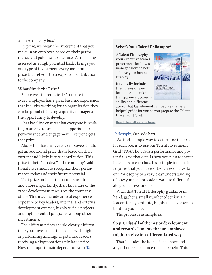a "prize in every box."

By prize, we mean the investment that you make in an employee based on their performance and potential to advance. While being assessed as a high potential leader brings you one type of investment, everyone should get a prize that reflects their expected contribution to the company.

## **What Size is the Prize?**

Before we differentiate, let's ensure that every employee has a great baseline experience that includes working for an organization they can be proud of, having a quality manager and the opportunity to develop.

That baseline ensures that everyone is working in an environment that supports their performance and engagement. Everyone gets that prize.

Above that baseline, every employee should get an additional prize that's based on their current and likely future contribution. This prize is their "fair deal" – the company's additional investment to recognize their performance today and their future potential.

That prize includes their compensation and, more importantly, their fair share of the other development resources the company offers. This may include critical experiences, exposure to key leaders, internal and external development courses, highly-visible projects and high potential programs, among other investments.

The different prizes should clearly differentiate your investment in leaders, with higher performing and higher potential leaders receiving a disproportionately large prize. How disproportionate depends on your [Talent](https://talentstrategygroup.com/whats-your-talent-philosophy-the-original-article-observations-after-five-years/) 

## **What's Your Talent Philosophy?**

A Talent Philosophy is your executive team's preferences for how to manage talent to best achieve your business strategy.

It typically includes their views on performance, behaviors, transparency, accountability and differenti-



ation. That last element can be an extremely helpful guide for you as you prepare the Talent Investment Grid.

**[Read the full article here.](http://www.talentstrategygroup.com/publications/an-update-what-s-your-talent-philosophy)** 

[Philosophy](https://talentstrategygroup.com/whats-your-talent-philosophy-the-original-article-observations-after-five-years/) (see side bar).

We find a simple way to determine the prize for each box is to use our Talent Investment Grid (TIG). The TIG is a performance and potential grid that details how you plan to invest in leaders in each box. It's a simple tool but it requires that you have either an executive Talent Philosophy or a very clear understanding of how your senior leaders want to differentiate people investments.

With that Talent Philosophy guidance in hand, gather a small number of senior HR leaders for a 90 minute, highly-focused exercise to fill in your TIG.

The process is as simple as:

## **Step 1: List all of the major development and reward elements that an employee might receive in a differentiated way.**

That includes the items listed above and any other performance-related benefit. This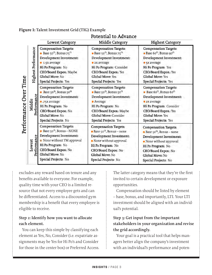|                             |                       | Lowest Category                                                                                                                                                                                                       | Middle Category                                                                                                                                                                                                                   | <b>Highest Category</b>                                                                                                                                                                                                         |
|-----------------------------|-----------------------|-----------------------------------------------------------------------------------------------------------------------------------------------------------------------------------------------------------------------|-----------------------------------------------------------------------------------------------------------------------------------------------------------------------------------------------------------------------------------|---------------------------------------------------------------------------------------------------------------------------------------------------------------------------------------------------------------------------------|
| Time<br>Over<br>Performance | Highest Performance   | <b>Compensation Targets:</b><br>Base 50 <sup>th</sup> , Bonus 75 <sup>th</sup><br>Development Investment:<br>1.5x average<br>Hi Po Program: No<br>CEO/Board Expos.: Maybe<br>Global Move: No<br>Special Projects: Yes | <b>Compensation Targets:</b><br>Base 50 <sup>th</sup> , Bonus 75 <sup>th</sup><br>Development Investment:<br>• 2x average<br>Hi Po Program: Consider<br>CEO/Board Expos.: Yes<br><b>Global Move: Yes</b><br>Special Projects: Yes | <b>Compensation Targets:</b><br>Base 60 <sup>th</sup> , Bonus 90 <sup>th</sup><br>Development Investment:<br>• 5x average<br>Hi Po Program: Yes<br>CEO/Board Expos.: Yes<br><b>Global Move: Yes</b><br>Special Projects: Yes    |
|                             | Performance<br>Middle | <b>Compensation Targets:</b><br>Base 50th, Bonus 50th<br>Development Investment:<br>.75x average<br>Hi Po Program: No<br>CEO/Board Expos.: No<br>Global Move: No<br>Special Projects: No                              | <b>Compensation Targets:</b><br>Base 50 <sup>th</sup> , Bonus 50 <sup>th</sup><br>Development Investment:<br><b>Average</b><br>Hi Po Program: No<br>CEO/Board Expos.: Maybe<br>Global Move: Consider<br>Special Projects: Yes     | <b>Compensation Targets:</b><br>Base 60 <sup>th</sup> , Bonus 60 <sup>th</sup><br>Development Investment:<br><b>2x</b> average<br>Hi Po Program: Consider<br>CEO/Board Expos.: Yes<br>Global Move: Yes<br>Special Projects: Yes |
|                             | Performance<br>Lowest | <b>Compensation Targets:</b><br>Base 50 <sup>th</sup> , Bonus - NONE<br>Development Investment:<br>None without TM approval<br>Hi Po Program: No<br>CEO/Board Expos.: No<br>Global Move: No<br>Special Projects: No   | <b>Compensation Targets:</b><br>Base 50 <sup>th</sup> , Bonus - none<br>Development Investment:<br>None without approval<br>Hi Po Program: No<br>CEO/Board Expos.: No<br>Global Move: No<br>Special Projects: No                  | <b>Compensation Targets:</b><br><b>Base</b> 50 <sup>th</sup> , Bonus – none<br>Development Investment:<br>None without approval<br>Hi Po Program: No.<br>CEO/Board Expos.: No<br>Global Move: No<br>Special Projects: No        |

Potential to Advance

**Figure 1: Talent Investment Grid (TIG) Example**

excludes any reward based on tenure and any benefits available to everyone. For example, quality time with your CEO is a limited resource that not every employee gets and can be differentiated. Access to a discounted gym membership is a benefit that every employee is eligible to receive.

## **Step 2: Identify how you want to allocate each element.**

You can keep this simple by classifying each element as Yes, No, Consider (i.e. expatriate assignments may be Yes for Hi Po's and Consider for those in the center box) or Preferred Access. The latter category means that they're the first invited to certain development or exposure opportunities.

Compensation should be listed by element – base, bonus, and importantly, LTI. Your LTI investment should be aligned with an individual's potential.

## **Step 3: Get input from the important stakeholders in your organization and revise the grid accordingly.**

Your goal is a practical tool that helps managers better align the company's investment with an individual's performance and poten